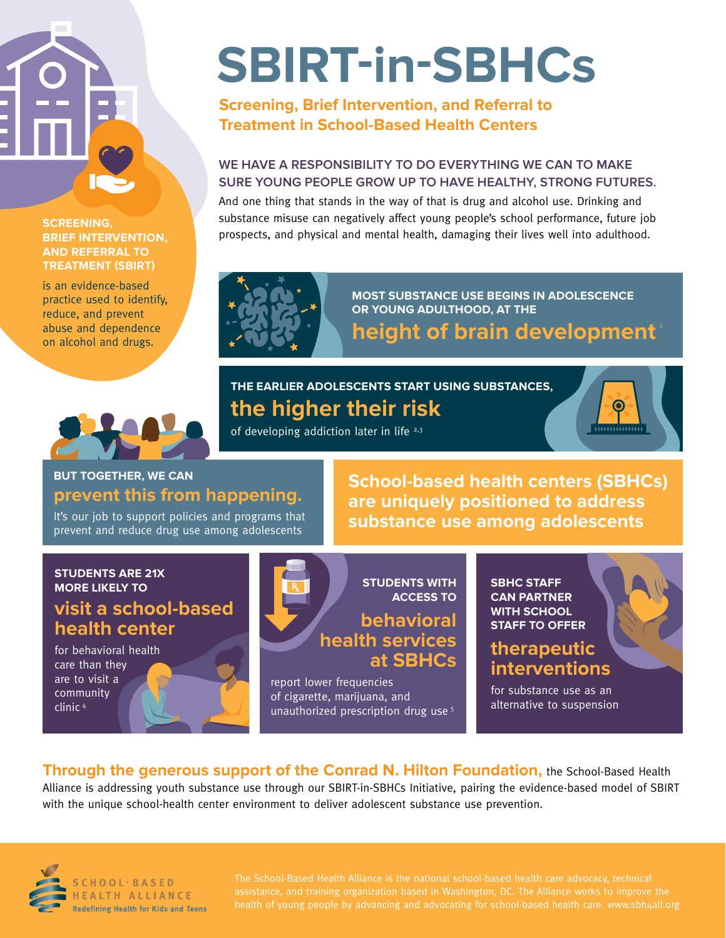#### **SCREENING, BRIEF INTERVENTION, AND REFERRAL TO TREATMENT (SBIRT)**

is an evidence-based practice used to identify, reduce, and prevent abuse and dependence on alcohol and drugs.

# **SBIRT-in-SBHCs**

**Screening, Brief Intervention, and Referral to Treatment in School-Based Health Centers**

#### **WE HAVE A RESPONSIBILITY TO DO EVERYTHING WE CAN TO MAKE SURE YOUNG PEOPLE GROW UP TO HAVE HEALTHY, STRONG FUTURES.**

And one thing that stands in the way of that is drug and alcohol use. Drinking and substance misuse can negatively affect young people's school performance, future job prospects, and physical and mental health, damaging their lives well into adulthood.



**MOST SUBSTANCE USE BEGINS IN ADOLESCENCE OR YOUNG ADULTHOOD, AT THE** 

**height of brain development** 

#### **THE EARLIER ADOLESCENTS START USING SUBSTANCES, the higher their risk**



of developing addiction later in life  $2,3$ 

#### **BUT TOGETHER, WE CAN prevent this from happening.**

It's our job to support policies and programs that prevent and reduce drug use among adolescents

**School-based health centers (SBHCs) are uniquely positioned to address substance use among adolescents**

### **STUDENTS ARE 21X**

#### **visit a school-based health center**

for behavioral health care than they are to visit a community clinic 4



report lower frequencies of cigarette, marijuana, and unauthorized prescription drug use 5 **CAN PARTNER WITH SCHOOL STAFF TO OFFER**

#### **therapeutic interventions**

for substance use as an alternative to suspension

**Through the generous support of the Conrad N. Hilton Foundation,** the School-Based Health Alliance is addressing youth substance use through our SBIRT-in-SBHCs Initiative, pairing the evidence-based model of SBIRT with the unique school-health center environment to deliver adolescent substance use prevention.



**SCHOOL·BASED** HEALTH ALLIANCE **Redefining Health for Kids and Teens**  The School-Based Health Alliance is the national school-based health care advocacy, technical